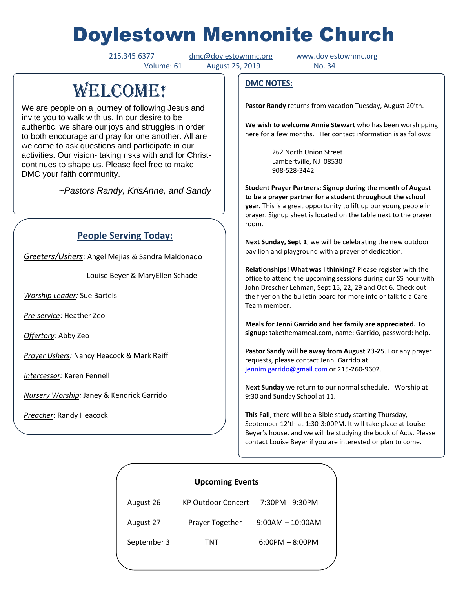# Doylestown Mennonite Church

215.345.6377 [dmc@doylestownmc.org](mailto:dmc@doylestownmc.org) www.doylestownmc.org

Volume: 61 August 25, 2019 No. 34

## **WELCOME!**

We are people on a journey of following Jesus and invite you to walk with us. In our desire to be authentic, we share our joys and struggles in order to both encourage and pray for one another. All are welcome to ask questions and participate in our activities. Our vision- taking risks with and for Christcontinues to shape us. Please feel free to make DMC your faith community.

 *~Pastors Randy, KrisAnne, and Sandy*

## **People Serving Today:**

*Greeters/Ushers*: Angel Mejias & Sandra Maldonado

Louise Beyer & MaryEllen Schade

*Worship Leader:* Sue Bartels

*Pre-service*: Heather Zeo

*Offertory:* Abby Zeo

*Prayer Ushers:* Nancy Heacock & Mark Reiff

*Intercessor:* Karen Fennell

*Nursery Worship:* Janey & Kendrick Garrido

*Preacher*: Randy Heacock

## **DMC NOTES:**

**Pastor Randy** returns from vacation Tuesday, August 20'th.

**We wish to welcome Annie Stewart** who has been worshipping here for a few months. Her contact information is as follows:

> 262 North Union Street Lambertville, NJ 08530 908-528-3442

**Student Prayer Partners: Signup during the month of August to be a prayer partner for a student throughout the school year.** This is a great opportunity to lift up our young people in prayer. Signup sheet is located on the table next to the prayer room.

**Next Sunday, Sept 1**, we will be celebrating the new outdoor pavilion and playground with a prayer of dedication.

**Relationships! What was I thinking?** Please register with the office to attend the upcoming sessions during our SS hour with John Drescher Lehman, Sept 15, 22, 29 and Oct 6. Check out the flyer on the bulletin board for more info or talk to a Care Team member.

**Meals for Jenni Garrido and her family are appreciated. To signup:** takethemameal.com, name: Garrido, password: help.

**Pastor Sandy will be away from August 23-25**. For any prayer requests, please contact Jenni Garrido at [jennim.garrido@gmail.com](mailto:jennim.garrido@gmail.com) or 215-260-9602.

**Next Sunday** we return to our normal schedule. Worship at 9:30 and Sunday School at 11.

**This Fall**, there will be a Bible study starting Thursday, September 12'th at 1:30-3:00PM. It will take place at Louise Beyer's house, and we will be studying the book of Acts. Please contact Louise Beyer if you are interested or plan to come.

| <b>Upcoming Events</b> |                           |                    |  |
|------------------------|---------------------------|--------------------|--|
| August 26              | <b>KP Outdoor Concert</b> | 7:30PM - 9:30PM    |  |
| August 27              | Prayer Together           | $9:00AM - 10:00AM$ |  |
| September 3            | TNT                       | $6:00PM - 8:00PM$  |  |